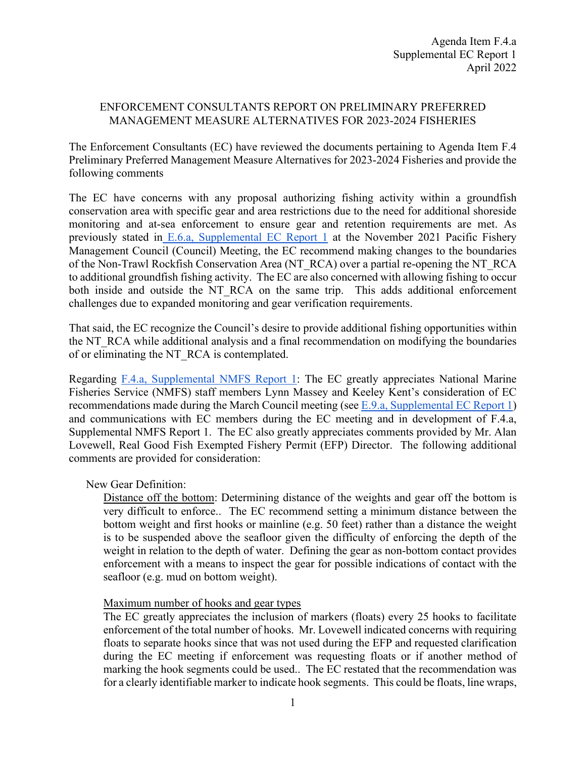## ENFORCEMENT CONSULTANTS REPORT ON PRELIMINARY PREFERRED MANAGEMENT MEASURE ALTERNATIVES FOR 2023-2024 FISHERIES

The Enforcement Consultants (EC) have reviewed the documents pertaining to Agenda Item F.4 Preliminary Preferred Management Measure Alternatives for 2023-2024 Fisheries and provide the following comments

The EC have concerns with any proposal authorizing fishing activity within a groundfish conservation area with specific gear and area restrictions due to the need for additional shoreside monitoring and at-sea enforcement to ensure gear and retention requirements are met. As previously stated in E.6.a, [Supplemental EC Report 1](https://www.pcouncil.org/documents/2021/11/e-6-a-supplemental-ec-report-1.pdf/) at the November 2021 Pacific Fishery Management Council (Council) Meeting, the EC recommend making changes to the boundaries of the Non-Trawl Rockfish Conservation Area (NT\_RCA) over a partial re-opening the NT\_RCA to additional groundfish fishing activity. The EC are also concerned with allowing fishing to occur both inside and outside the NT\_RCA on the same trip. This adds additional enforcement challenges due to expanded monitoring and gear verification requirements.

That said, the EC recognize the Council's desire to provide additional fishing opportunities within the NT\_RCA while additional analysis and a final recommendation on modifying the boundaries of or eliminating the NT\_RCA is contemplated.

Regarding F.4.a, [Supplemental NMFS Report 1:](https://www.pcouncil.org/documents/2022/03/f-4-a-supplemental-nmfs-report-1-2.pdf/) The EC greatly appreciates National Marine Fisheries Service (NMFS) staff members Lynn Massey and Keeley Kent's consideration of EC recommendations made during the March Council meeting (see E.9.a, [Supplemental EC Report 1\)](https://www.pcouncil.org/documents/2022/03/e-9-a-supplemental-ec-report-1.pdf/) and communications with EC members during the EC meeting and in development of F.4.a, Supplemental NMFS Report 1. The EC also greatly appreciates comments provided by Mr. Alan Lovewell, Real Good Fish Exempted Fishery Permit (EFP) Director. The following additional comments are provided for consideration:

## New Gear Definition:

Distance off the bottom: Determining distance of the weights and gear off the bottom is very difficult to enforce.. The EC recommend setting a minimum distance between the bottom weight and first hooks or mainline (e.g. 50 feet) rather than a distance the weight is to be suspended above the seafloor given the difficulty of enforcing the depth of the weight in relation to the depth of water. Defining the gear as non-bottom contact provides enforcement with a means to inspect the gear for possible indications of contact with the seafloor (e.g. mud on bottom weight).

## Maximum number of hooks and gear types

The EC greatly appreciates the inclusion of markers (floats) every 25 hooks to facilitate enforcement of the total number of hooks. Mr. Lovewell indicated concerns with requiring floats to separate hooks since that was not used during the EFP and requested clarification during the EC meeting if enforcement was requesting floats or if another method of marking the hook segments could be used.. The EC restated that the recommendation was for a clearly identifiable marker to indicate hook segments. This could be floats, line wraps,